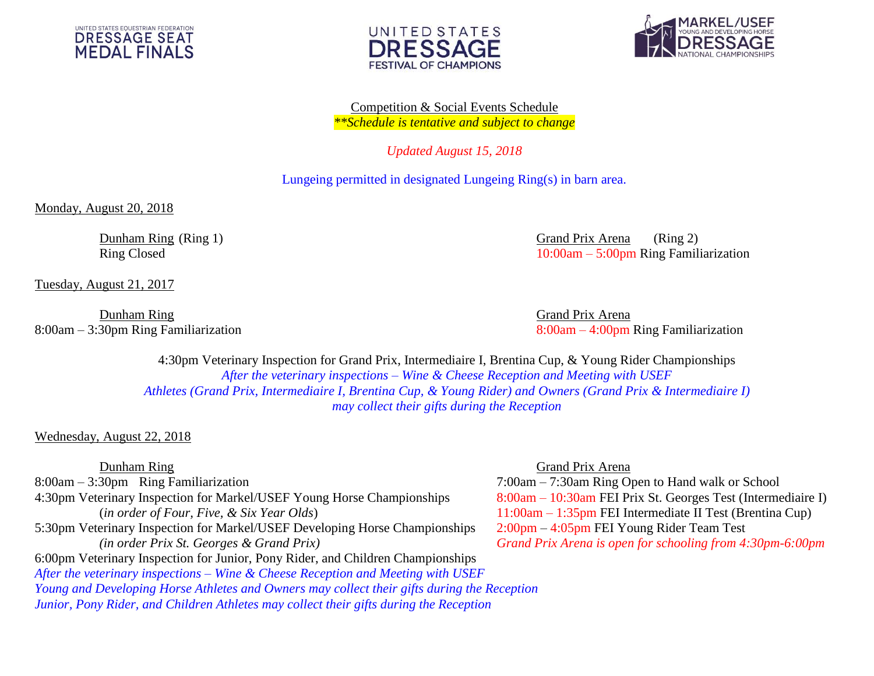





Competition & Social Events Schedule *\*\*Schedule is tentative and subject to change*

*Updated August 15, 2018*

Lungeing permitted in designated Lungeing Ring(s) in barn area.

Monday, August 20, 2018

Tuesday, August 21, 2017

Dunham Ring Grand Prix Arena

Dunham Ring (Ring 1) Grand Prix Arena (Ring 2) Ring Closed 10:00am – 5:00pm Ring Familiarization

8:00am – 3:30pm Ring Familiarization 8:00am – 4:00pm Ring Familiarization

4:30pm Veterinary Inspection for Grand Prix, Intermediaire I, Brentina Cup, & Young Rider Championships *After the veterinary inspections – Wine & Cheese Reception and Meeting with USEF Athletes (Grand Prix, Intermediaire I, Brentina Cup, & Young Rider) and Owners (Grand Prix & Intermediaire I) may collect their gifts during the Reception*

# Wednesday, August 22, 2018

8:00am – 3:30pm Ring Familiarization 7:00am – 7:30am Ring Open to Hand walk or School 4:30pm Veterinary Inspection for Markel/USEF Young Horse Championships 8:00am – 10:30am FEI Prix St. Georges Test (Intermediaire I) (*in order of Four, Five, & Six Year Olds*) 11:00am – 1:35pm FEI Intermediate II Test (Brentina Cup) 5:30pm Veterinary Inspection for Markel/USEF Developing Horse Championships 2:00pm – 4:05pm FEI Young Rider Team Test *(in order Prix St. Georges & Grand Prix) Grand Prix Arena is open for schooling from 4:30pm-6:00pm* 6:00pm Veterinary Inspection for Junior, Pony Rider, and Children Championships *After the veterinary inspections – Wine & Cheese Reception and Meeting with USEF Young and Developing Horse Athletes and Owners may collect their gifts during the Reception Junior, Pony Rider, and Children Athletes may collect their gifts during the Reception*

# Dunham Ring Grand Prix Arena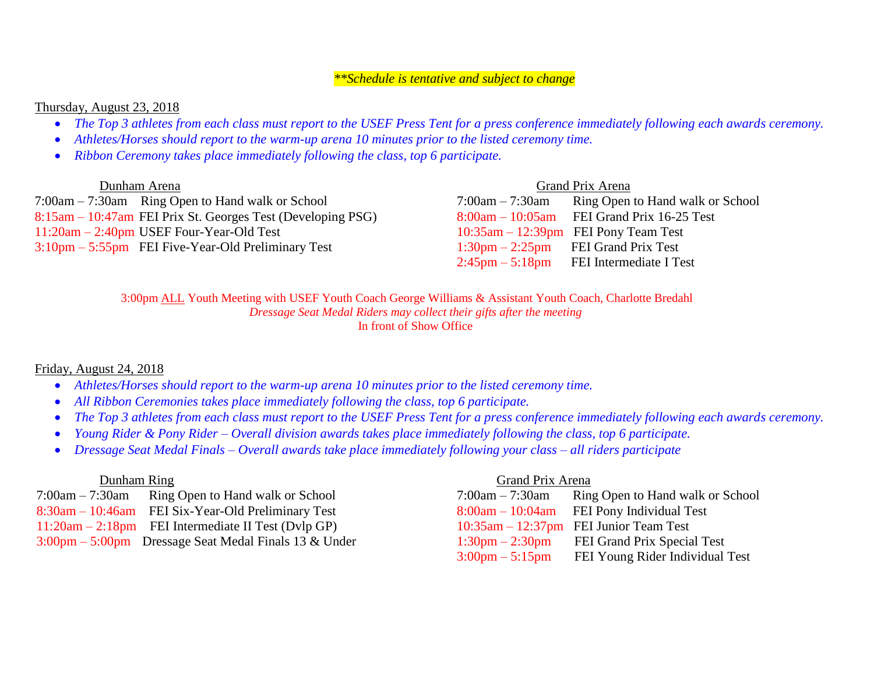# *\*\*Schedule is tentative and subject to change*

# Thursday, August 23, 2018

- *The Top 3 athletes from each class must report to the USEF Press Tent for a press conference immediately following each awards ceremony.*
- *Athletes/Horses should report to the warm-up arena 10 minutes prior to the listed ceremony time.*
- *Ribbon Ceremony takes place immediately following the class, top 6 participate.*

| Dunham Arena                                                         |                   | Grand Prix Arena                                        |
|----------------------------------------------------------------------|-------------------|---------------------------------------------------------|
| $7:00am - 7:30am$ Ring Open to Hand walk or School                   | $7:00am - 7:30am$ | Ring Open to Hand walk or School                        |
| 8:15am – 10:47am FEI Prix St. Georges Test (Developing PSG)          |                   | $8:00am - 10:05am$ FEI Grand Prix 16-25 Test            |
| $11:20$ am $-2:40$ pm USEF Four-Year-Old Test                        |                   | $10:35$ am $-12:39$ pm FEI Pony Team Test               |
| $3:10 \text{pm} - 5:55 \text{pm}$ FEI Five-Year-Old Preliminary Test |                   | $1:30 \text{pm} - 2:25 \text{pm}$ FEI Grand Prix Test   |
|                                                                      |                   | $2:45\text{pm} - 5:18\text{pm}$ FEI Intermediate I Test |

3:00pm ALL Youth Meeting with USEF Youth Coach George Williams & Assistant Youth Coach, Charlotte Bredahl *Dressage Seat Medal Riders may collect their gifts after the meeting* In front of Show Office

## Friday, August 24, 2018

- *Athletes/Horses should report to the warm-up arena 10 minutes prior to the listed ceremony time.*
- *All Ribbon Ceremonies takes place immediately following the class, top 6 participate.*
- *The Top 3 athletes from each class must report to the USEF Press Tent for a press conference immediately following each awards ceremony.*
- *Young Rider & Pony Rider – Overall division awards takes place immediately following the class, top 6 participate.*
- *Dressage Seat Medal Finals – Overall awards take place immediately following your class – all riders participate*

 7:00am – 7:30am Ring Open to Hand walk or School 7:00am – 7:30am Ring Open to Hand walk or School  $8:30$ am – 10:46am FEI Six-Year-Old Preliminary Test  $11:20$ am –  $2:18$ pm FEI Intermediate II Test (Dvlp GP)  $3:00 \text{pm} - 5:00 \text{pm}$  Dressage Seat Medal Finals 13 & Under

### Dunham Ring Grand Prix Arena

| $7:00am - 7:30am$                 | Ring Open to Hand walk or School            |
|-----------------------------------|---------------------------------------------|
| $8:00am - 10:04am$                | FEI Pony Individual Test                    |
|                                   | $10:35$ am $-12:37$ pm FEI Junior Team Test |
| $1:30 \text{pm} - 2:30 \text{pm}$ | FEI Grand Prix Special Test                 |
| $3:00 \text{pm} - 5:15 \text{pm}$ | FEI Young Rider Individual Test             |